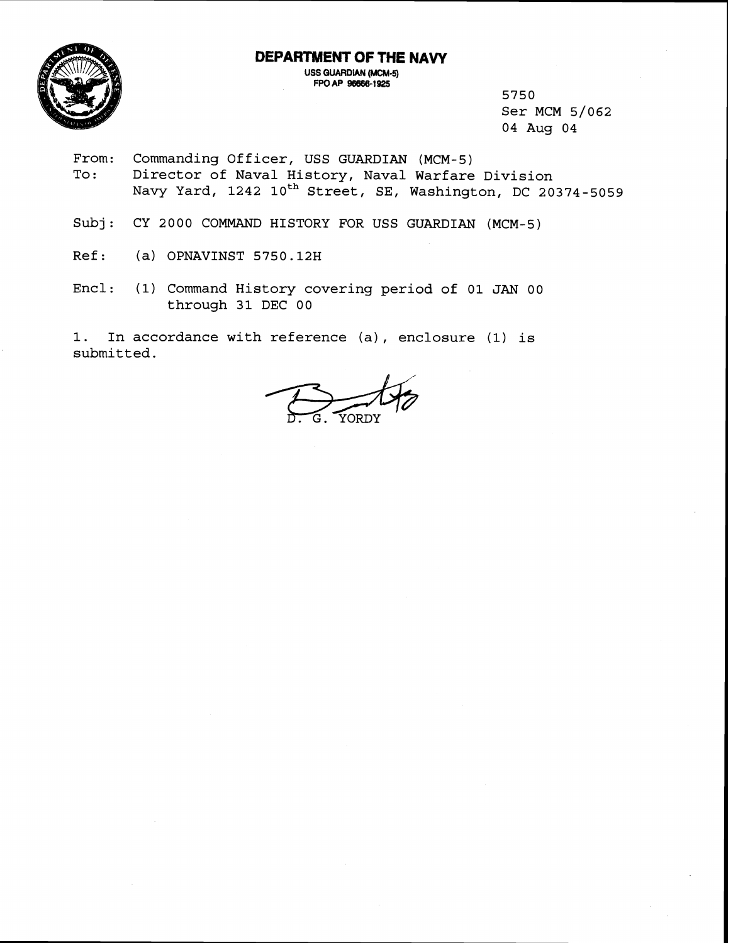**DEPARTMENT OF THE NAVY USS GUARDIAN (MCM-5)** 

**FPOAP 96m-1925** 



5750 Ser MCM 5/062 04 Aug 04

- From: Commanding Officer, USS GUARDIAN (MCM-5)<br>To: Director of Naval History, Naval Warfare Director of Naval History, Naval Warfare Division Navy Yard, 1242 10<sup>th</sup> Street, SE, Washington, DC 20374-5059
- Subj: CY 2000 COMMAND HISTORY FOR USS GUARDIAN (MCM-5)
- Ref: (a) OPNAVINST 5750.12H
- Encl: (1) Command History covering period of 01 JAN 00 through 31 DEC 00

1. In accordance with reference (a) , enclosure **(1)** is submitted.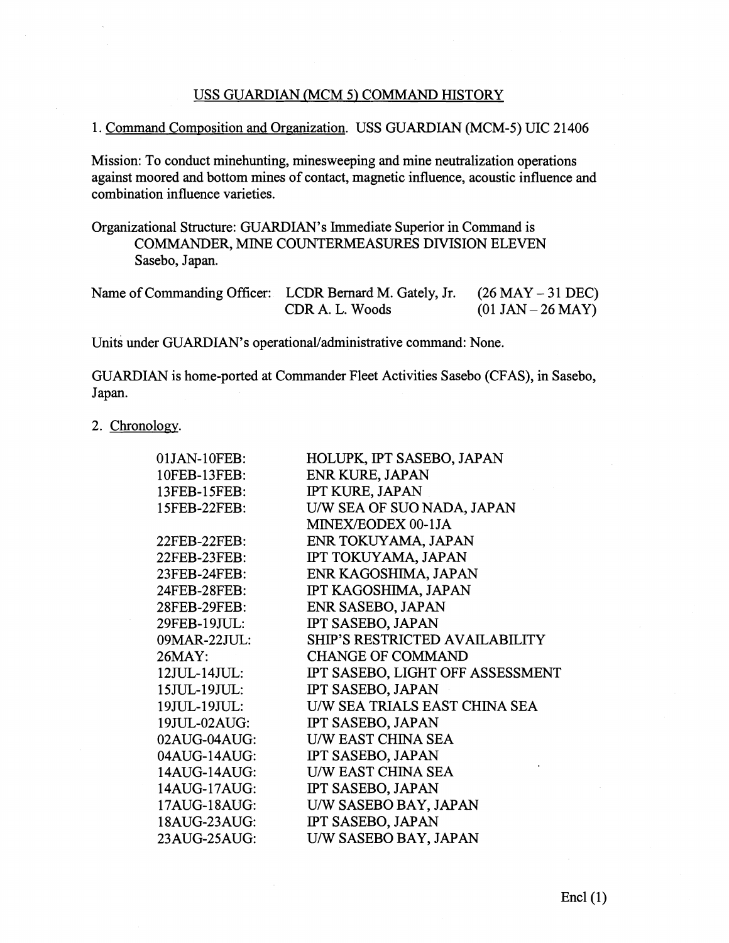# USS GUARDIAN (MCM 5) COMMAND HISTORY

# 1. Command Composition and Organization. USS GUARDIAN (MCM-5) UIC 21406

Mission: To conduct minehunting, minesweeping and mine neutralization operations against moored and bottom mines of contact, magnetic influence, acoustic influence and combination influence varieties.

Organizational Structure: GUARDIAN'S Immediate Superior in Command is COMMANDER, MINE COUNTERMEASURES DIVISION ELEVEN Sasebo, Japan.

| Name of Commanding Officer: LCDR Bernard M. Gately, Jr. $(26$ MAY $-31$ DEC) |                 |                     |
|------------------------------------------------------------------------------|-----------------|---------------------|
|                                                                              | CDR A. L. Woods | $(01$ JAN – 26 MAY) |

Units under GUARDIAN's operational/administrative command: None.

GUARDIAN is home-ported at Commander Fleet Activities Sasebo (CFAS), in Sasebo, Japan.

# 2. Chronology.

| 01JAN-10FEB: | HOLUPK, IPT SASEBO, JAPAN             |
|--------------|---------------------------------------|
| 10FEB-13FEB: | ENR KURE, JAPAN                       |
| 13FEB-15FEB: | <b>IPT KURE, JAPAN</b>                |
| 15FEB-22FEB: | U/W SEA OF SUO NADA, JAPAN            |
|              | MINEX/EODEX 00-1JA                    |
| 22FEB-22FEB: | ENR TOKUYAMA, JAPAN                   |
| 22FEB-23FEB: | IPT TOKUYAMA, JAPAN                   |
| 23FEB-24FEB: | ENR KAGOSHIMA, JAPAN                  |
| 24FEB-28FEB: | IPT KAGOSHIMA, JAPAN                  |
| 28FEB-29FEB: | ENR SASEBO, JAPAN                     |
| 29FEB-19JUL: | IPT SASEBO, JAPAN                     |
| 09MAR-22JUL: | <b>SHIP'S RESTRICTED AVAILABILITY</b> |
| 26MAY:       | <b>CHANGE OF COMMAND</b>              |
| 12JUL-14JUL: | IPT SASEBO, LIGHT OFF ASSESSMENT      |
| 15JUL-19JUL: | IPT SASEBO, JAPAN                     |
| 19JUL-19JUL: | U/W SEA TRIALS EAST CHINA SEA         |
| 19JUL-02AUG: | IPT SASEBO, JAPAN                     |
| 02AUG-04AUG: | <b>U/W EAST CHINA SEA</b>             |
| 04AUG-14AUG: | IPT SASEBO, JAPAN                     |
| 14AUG-14AUG: | <b>U/W EAST CHINA SEA</b>             |
| 14AUG-17AUG: | IPT SASEBO, JAPAN                     |
| 17AUG-18AUG: | U/W SASEBO BAY, JAPAN                 |
| 18AUG-23AUG: | IPT SASEBO, JAPAN                     |
| 23AUG-25AUG: | U/W SASEBO BAY, JAPAN                 |
|              |                                       |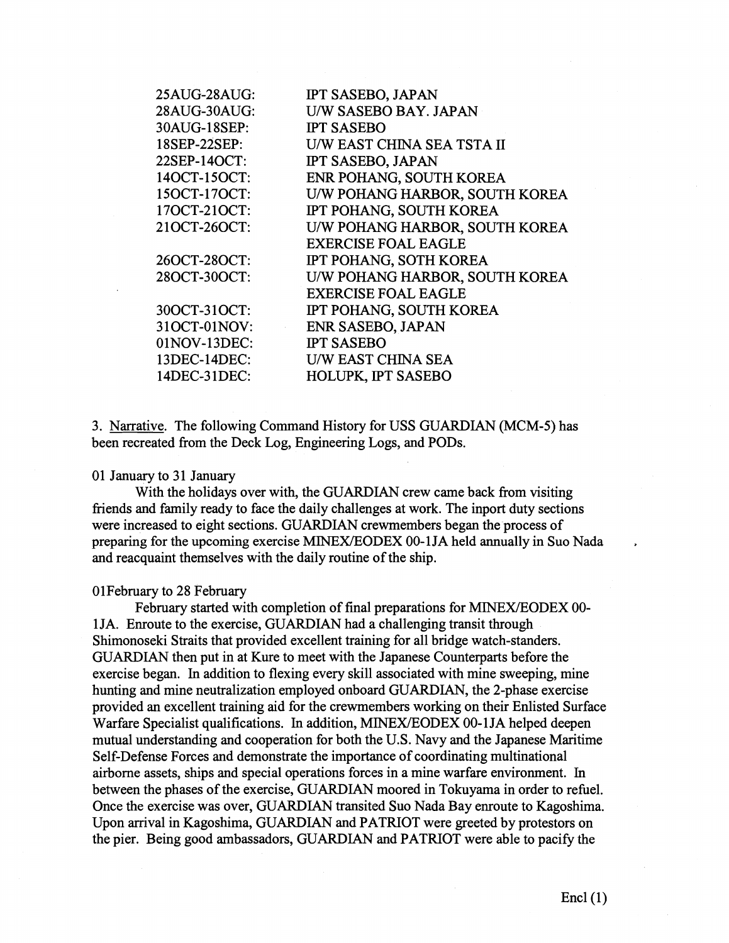| 25AUG-28AUG: | <b>IPT SASEBO, JAPAN</b>       |
|--------------|--------------------------------|
| 28AUG-30AUG: | U/W SASEBO BAY. JAPAN          |
| 30AUG-18SEP: | <b>IPT SASEBO</b>              |
| 18SEP-22SEP: | U/W EAST CHINA SEA TSTA II     |
| 22SEP-14OCT: | <b>IPT SASEBO, JAPAN</b>       |
| 140CT-15OCT: | ENR POHANG, SOUTH KOREA        |
| 150CT-170CT: | U/W POHANG HARBOR, SOUTH KOREA |
| 170CT-210CT: | IPT POHANG, SOUTH KOREA        |
| 210CT-260CT: | U/W POHANG HARBOR, SOUTH KOREA |
|              | <b>EXERCISE FOAL EAGLE</b>     |
| 26OCT-28OCT: | IPT POHANG, SOTH KOREA         |
| 28OCT-30OCT: | U/W POHANG HARBOR, SOUTH KOREA |
|              | <b>EXERCISE FOAL EAGLE</b>     |
| 30OCT-31OCT: | IPT POHANG, SOUTH KOREA        |
| 310CT-01NOV: | <b>ENR SASEBO, JAPAN</b>       |
| 01NOV-13DEC: | <b>IPT SASEBO</b>              |
| 13DEC-14DEC: | U/W EAST CHINA SEA             |
| 14DEC-31DEC: | <b>HOLUPK, IPT SASEBO</b>      |
|              |                                |

3. Narrative. The following Command History for USS GUARDIAN (MCM-5) has been recreated from the Deck Log, Engineering Logs, and PODS.

### 01 January to 31 January

With the holidays over with, the GUARDIAN crew came back from visiting friends and family ready to face the daily challenges at work. The inport duty sections were increased to eight sections. GUARDIAN crewmembers began the process of preparing for the upcoming exercise MINEX/EODEX 00-1 JA held annually in Suo Nada and reacquaint themselves with the daily routine of the ship.

### OlFebruary to 28 February

February started with completion of final preparations for MINEX/EODEX 00-1 JA. Enroute to the exercise, GUARDIAN had a challenging transit through Shimonoseki Straits that provided excellent training for all bridge watch-standers. GUARDIAN then put in at Kure to meet with the Japanese Counterparts before the exercise began. In addition to flexing every skill associated with mine sweeping, mine hunting and mine neutralization employed onboard GUARDIAN, the 2-phase exercise provided an excellent training aid for the crewmembers working on their Enlisted Surface Warfare Specialist qualifications. In addition, MINEX/EODEX 00-1JA helped deepen mutual understanding and cooperation for both the U.S. Navy and the Japanese Maritime Self-Defense Forces and demonstrate the importance of coordinating multinational airborne assets, ships and special operations forces in a mine warfare environment. In between the phases of the exercise, GUARDIAN moored in Tokuyama in order to refuel. Once the exercise was over, GUARDIAN transited Suo Nada Bay enroute to Kagoshima. Upon arrival in Kagoshima, GUARDIAN and PATRIOT were greeted by protestors on the pier. Being good ambassadors, GUARDIAN and PATRIOT were able to pacify the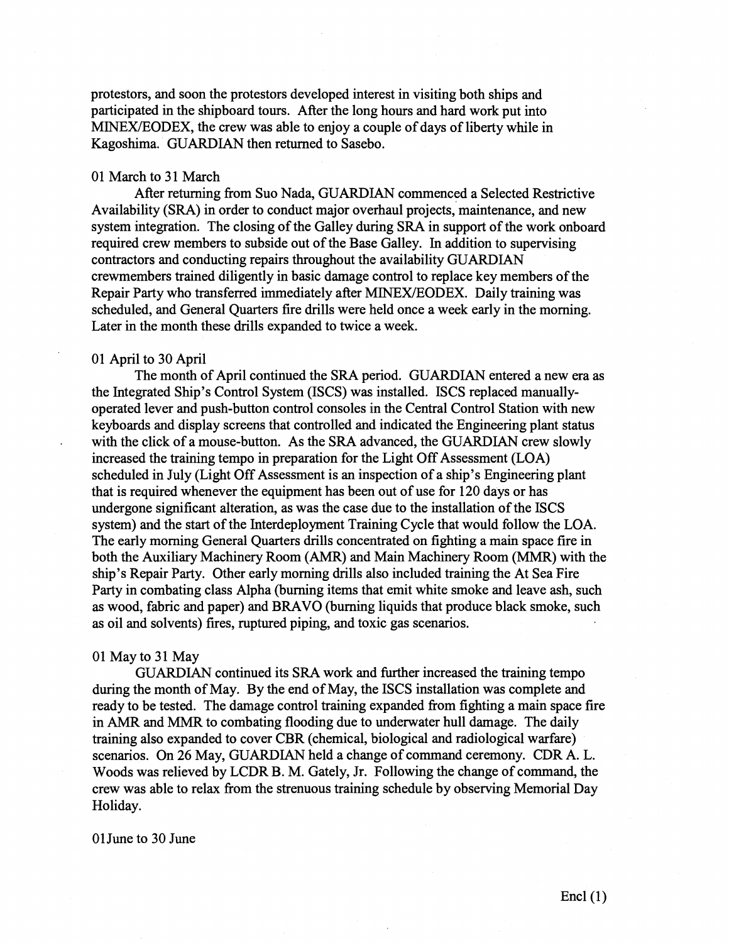protestors, and soon the protestors developed interest in visiting both ships and participated in the shipboard tours. After the long hours and hard work put into MINEX/EODEX, the crew was able to enjoy a couple of days of liberty while in Kagoshima. GUARDIAN then returned to Sasebo.

## 01 March to 31 March

After returning from Suo Nada, GUARDIAN commenced a Selected Restrictive Availability (SRA) in order to conduct major overhaul projects, maintenance, and new system integration. The closing of the Galley during SRA in support of the work onboard required crew members to subside out of the Base Galley. In addition to supervising contractors and conducting repairs throughout the availability GUARDIAN crewmembers trained diligently in basic damage control to replace key members of the Repair Party who transferred immediately after MINEX/EODEX. Daily training was scheduled, and General Quarters fire drills were held once a week early in the morning. Later in the month these drills expanded to twice a week.

### 01 April to 30 April

The month of April continued the SRA period. GUARDIAN entered a new era as the Integrated Ship's Control System (ISCS) was installed. ISCS replaced manuallyoperated lever and push-button control consoles in the Central Control Station with new keyboards and display screens that controlled and indicated the Engineering plant status with the click of a mouse-button. As the SRA advanced, the GUARDIAN crew slowly increased the training tempo in preparation for the Light Off Assessment (LOA) scheduled in July (Light Off Assessment is an inspection of a ship's Engineering plant that is required whenever the equipment has been out of use for 120 days or has undergone significant alteration, as was the case due to the installation of the ISCS system) and the start of the Interdeployment Training Cycle that would follow the LOA. The early morning General Quarters drills concentrated on fighting a main space fire in both the Auxiliary Machinery Room **(AMR)** and Main Machinery Room (MMR) with the ship's Repair Party. Other early morning drills also included training the At Sea Fire Party in combating class Alpha (burning items that emit white smoke and leave ash, such as wood, fabric and paper) and BRAVO (burning liquids that produce black smoke, such as oil and solvents) fires, ruptured piping, and toxic gas scenarios.

#### 01 May to 31 May

GUARDIAN continued its SRA work and further increased the training tempo during the month of May. By the end of May, the ISCS installation was complete and ready to be tested. The damage control training expanded from fighting a main space fire in **AMR** and MMR to combating flooding due to underwater hull damage. The daily training also expanded to cover CBR (chemical, biological and radiological warfare) scenarios. On 26 May, GUARDIAN held a change of command ceremony. CDR A. L. Woods was relieved by LCDR B. M. Gately, Jr. Following the change of command, the crew was able to relax from the strenuous training schedule by observing Memorial Day Holiday.

## OlJune to 30 June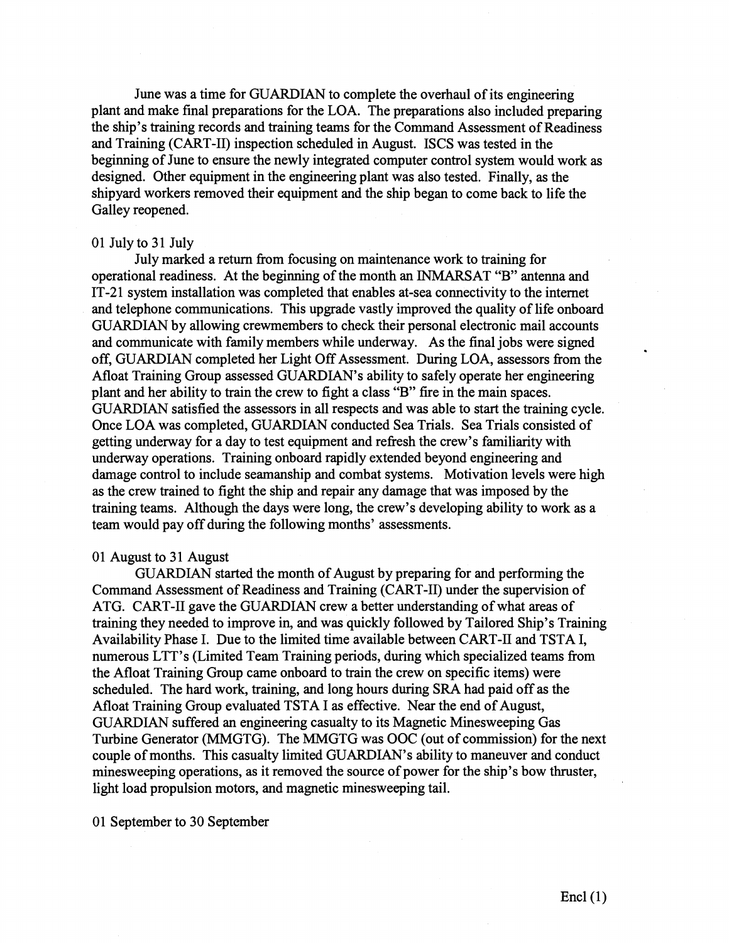June was a time for GUARDIAN to complete the overhaul of its engineering plant and make final preparations for the LOA. The preparations also included preparing the ship's training records and training teams for the Command Assessment of Readiness and Training (CART-11) inspection scheduled in August. ISCS was tested in the beginning of June to ensure the newly integrated computer control system would work as designed. Other equipment in the engineering plant was also tested. Finally, as the shipyard workers removed their equipment and the ship began to come back to life the Galley reopened.

#### 0 1 July to **3** 1 July

July marked a return fiom focusing on maintenance work to training for operational readiness. At the beginning of the month an INMARSAT "B" antenna and IT-21 system installation was completed that enables at-sea connectivity to the internet and telephone communications. This upgrade vastly improved the quality of life onboard GUARDIAN by allowing crewmembers to check their personal electronic mail accounts and communicate with family members while underway. As the final jobs were signed off, GUARDIAN completed her Light Off Assessment. During LOA, assessors fiom the Afloat Training Group assessed GUARDIAN'S ability to safely operate her engineering plant and her ability to train the crew to fight a class "B" fire in the main spaces. GUARDIAN satisfied the assessors in all respects and was able to start the training cycle. Once LOA was completed, GUARDIAN conducted Sea Trials. Sea Trials consisted of getting underway for a day to test equipment and refiesh the crew's familiarity with underway operations. Training onboard rapidly extended beyond engineering and damage control to include seamanship and combat systems. Motivation levels were high as the crew trained to fight the ship and repair any damage that was imposed by the training teams. Although the days were long, the crew's developing ability to work as a team would pay off during the following months' assessments.

### 01 August to **3** 1 August

GUARDIAN started the month of August by preparing for and performing the Command Assessment of Readiness and Training (CART-11) under the supervision of ATG. CART-I1 gave the GUARDIAN crew a better understanding of what areas of training they needed to improve in, and was quickly followed by Tailored Ship's Training Availability Phase I. Due to the limited time available between CART-I1 and TSTA I, numerous LTT's (Limited Team Training periods, during which specialized teams fiom the Afloat Training Group came onboard to train the crew on specific items) were scheduled. The hard work, training, and long hours during SRA had paid off as the Afloat Training Group evaluated TSTA I as effective. Near the end of August, GUARDIAN suffered an engineering casualty to its Magnetic Minesweeping Gas Turbine Generator (MMGTG). The MMGTG was OOC (out of commission) for the next couple of months. This casualty limited GUARDIAN'S ability to maneuver and conduct minesweeping operations, as it removed the source of power for the ship's bow thruster, light load propulsion motors, and magnetic minesweeping tail.

01 September to 30 September